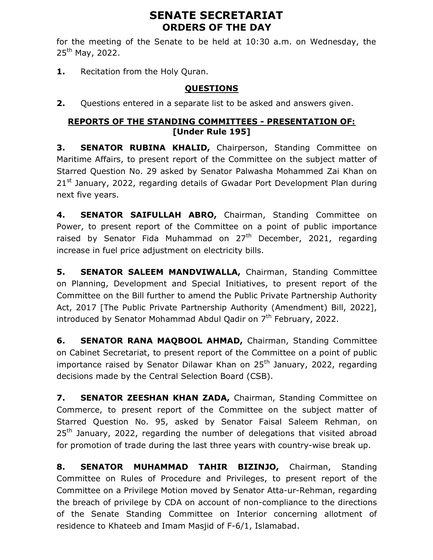# SENATE SECRETARIAT ORDERS OF THE DAY

for the meeting of the Senate to be held at 10:30 a.m. on Wednesday, the  $25^{th}$  May, 2022.

1. Recitation from the Holy Quran.

## QUESTIONS

**2.** Questions entered in a separate list to be asked and answers given.

### REPORTS OF THE STANDING COMMITTEES - PRESENTATION OF: [Under Rule 195]

**3. SENATOR RUBINA KHALID, Chairperson, Standing Committee on** Maritime Affairs, to present report of the Committee on the subject matter of Starred Question No. 29 asked by Senator Palwasha Mohammed Zai Khan on 21<sup>st</sup> January, 2022, regarding details of Gwadar Port Development Plan during next five years.

4. **SENATOR SAIFULLAH ABRO,** Chairman, Standing Committee on Power, to present report of the Committee on a point of public importance raised by Senator Fida Muhammad on  $27<sup>th</sup>$  December, 2021, regarding increase in fuel price adjustment on electricity bills.

5. SENATOR SALEEM MANDVIWALLA, Chairman, Standing Committee on Planning, Development and Special Initiatives, to present report of the Committee on the Bill further to amend the Public Private Partnership Authority Act, 2017 [The Public Private Partnership Authority (Amendment) Bill, 2022], introduced by Senator Mohammad Abdul Qadir on  $7<sup>th</sup>$  February, 2022.

6. SENATOR RANA MAQBOOL AHMAD, Chairman, Standing Committee on Cabinet Secretariat, to present report of the Committee on a point of public importance raised by Senator Dilawar Khan on  $25<sup>th</sup>$  January, 2022, regarding decisions made by the Central Selection Board (CSB).

7. SENATOR ZEESHAN KHAN ZADA, Chairman, Standing Committee on Commerce, to present report of the Committee on the subject matter of Starred Question No. 95, asked by Senator Faisal Saleem Rehman, on 25<sup>th</sup> January, 2022, regarding the number of delegations that visited abroad for promotion of trade during the last three years with country-wise break up.

8. **SENATOR MUHAMMAD TAHIR BIZINJO,** Chairman, Standing Committee on Rules of Procedure and Privileges, to present report of the Committee on a Privilege Motion moved by Senator Atta-ur-Rehman, regarding the breach of privilege by CDA on account of non-compliance to the directions of the Senate Standing Committee on Interior concerning allotment of residence to Khateeb and Imam Masjid of F-6/1, Islamabad.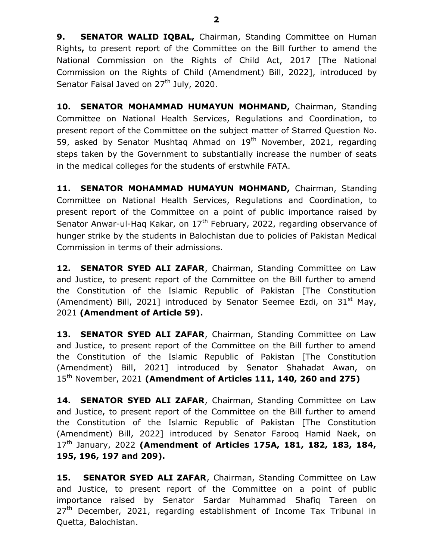9. SENATOR WALID IQBAL, Chairman, Standing Committee on Human Rights, to present report of the Committee on the Bill further to amend the National Commission on the Rights of Child Act, 2017 [The National Commission on the Rights of Child (Amendment) Bill, 2022], introduced by Senator Faisal Javed on 27<sup>th</sup> July, 2020.

10. SENATOR MOHAMMAD HUMAYUN MOHMAND, Chairman, Standing Committee on National Health Services, Regulations and Coordination, to present report of the Committee on the subject matter of Starred Question No. 59, asked by Senator Mushtag Ahmad on  $19<sup>th</sup>$  November, 2021, regarding steps taken by the Government to substantially increase the number of seats in the medical colleges for the students of erstwhile FATA.

11. SENATOR MOHAMMAD HUMAYUN MOHMAND, Chairman, Standing Committee on National Health Services, Regulations and Coordination, to present report of the Committee on a point of public importance raised by Senator Anwar-ul-Haq Kakar, on 17<sup>th</sup> February, 2022, regarding observance of hunger strike by the students in Balochistan due to policies of Pakistan Medical Commission in terms of their admissions.

12. SENATOR SYED ALI ZAFAR, Chairman, Standing Committee on Law and Justice, to present report of the Committee on the Bill further to amend the Constitution of the Islamic Republic of Pakistan [The Constitution (Amendment) Bill, 2021] introduced by Senator Seemee Ezdi, on  $31^{st}$  May, 2021 (Amendment of Article 59).

13. SENATOR SYED ALI ZAFAR, Chairman, Standing Committee on Law and Justice, to present report of the Committee on the Bill further to amend the Constitution of the Islamic Republic of Pakistan [The Constitution (Amendment) Bill, 2021] introduced by Senator Shahadat Awan, on 15<sup>th</sup> November, 2021 (Amendment of Articles 111, 140, 260 and 275)

14. SENATOR SYED ALI ZAFAR, Chairman, Standing Committee on Law and Justice, to present report of the Committee on the Bill further to amend the Constitution of the Islamic Republic of Pakistan [The Constitution (Amendment) Bill, 2022] introduced by Senator Farooq Hamid Naek, on  $17<sup>th</sup>$  January, 2022 (Amendment of Articles 175A, 181, 182, 183, 184, 195, 196, 197 and 209).

15. SENATOR SYED ALI ZAFAR, Chairman, Standing Committee on Law and Justice, to present report of the Committee on a point of public importance raised by Senator Sardar Muhammad Shafiq Tareen on 27<sup>th</sup> December, 2021, regarding establishment of Income Tax Tribunal in Quetta, Balochistan.